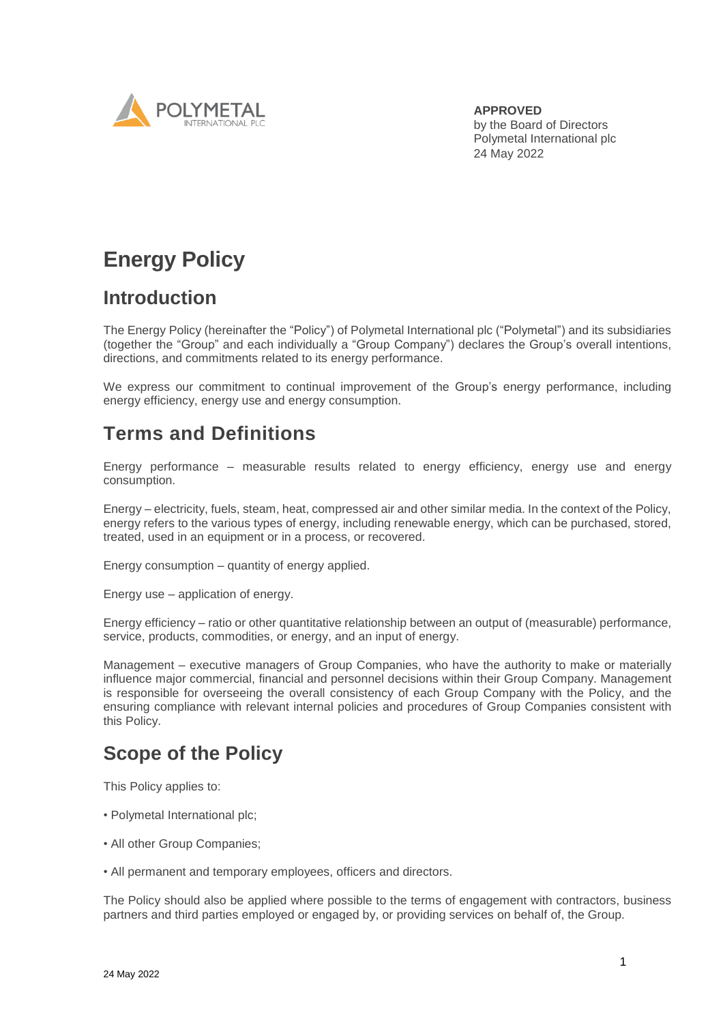

**APPROVED** by the Board of Directors Polymetal International plc 24 May 2022

# **Energy Policy**

## **Introduction**

The Energy Policy (hereinafter the "Policy") of Polymetal International plc ("Polymetal") and its subsidiaries (together the "Group" and each individually a "Group Company") declares the Group's overall intentions, directions, and commitments related to its energy performance.

We express our commitment to continual improvement of the Group's energy performance, including energy efficiency, energy use and energy consumption.

## **Terms and Definitions**

Energy performance – measurable results related to energy efficiency, energy use and energy consumption.

Energy – electricity, fuels, steam, heat, compressed air and other similar media. In the context of the Policy, energy refers to the various types of energy, including renewable energy, which can be purchased, stored, treated, used in an equipment or in a process, or recovered.

Energy consumption – quantity of energy applied.

Energy use – application of energy.

Energy efficiency – ratio or other quantitative relationship between an output of (measurable) performance, service, products, commodities, or energy, and an input of energy.

Management – executive managers of Group Companies, who have the authority to make or materially influence major commercial, financial and personnel decisions within their Group Company. Management is responsible for overseeing the overall consistency of each Group Company with the Policy, and the ensuring compliance with relevant internal policies and procedures of Group Companies consistent with this Policy.

## **Scope of the Policy**

This Policy applies to:

- Polymetal International plc;
- All other Group Companies;
- All permanent and temporary employees, officers and directors.

The Policy should also be applied where possible to the terms of engagement with contractors, business partners and third parties employed or engaged by, or providing services on behalf of, the Group.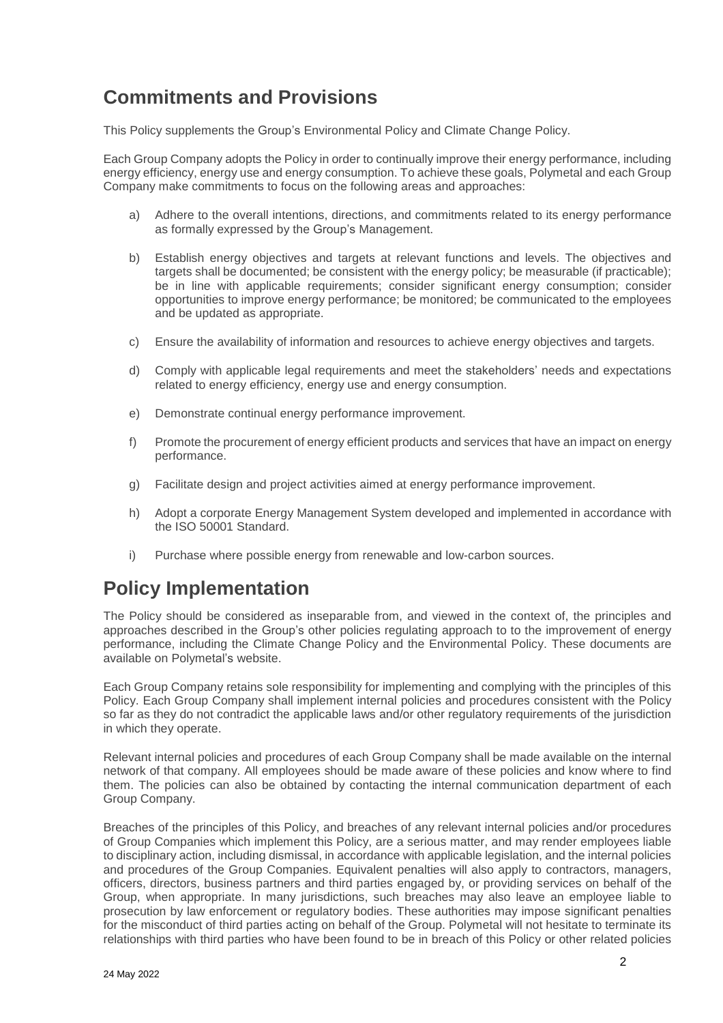## **Commitments and Provisions**

This Policy supplements the Group's Environmental Policy and Climate Change Policy.

Each Group Company adopts the Policy in order to continually improve their energy performance, including energy efficiency, energy use and energy consumption. To achieve these goals, Polymetal and each Group Company make commitments to focus on the following areas and approaches:

- a) Adhere to the overall intentions, directions, and commitments related to its energy performance as formally expressed by the Group's Management.
- b) Establish energy objectives and targets at relevant functions and levels. The objectives and targets shall be documented; be consistent with the energy policy; be measurable (if practicable); be in line with applicable requirements; consider significant energy consumption; consider opportunities to improve energy performance; be monitored; be communicated to the employees and be updated as appropriate.
- c) Ensure the availability of information and resources to achieve energy objectives and targets.
- d) Comply with applicable legal requirements and meet the stakeholders' needs and expectations related to energy efficiency, energy use and energy consumption.
- e) Demonstrate continual energy performance improvement.
- f) Promote the procurement of energy efficient products and services that have an impact on energy performance.
- g) Facilitate design and project activities aimed at energy performance improvement.
- h) Adopt a corporate Energy Management System developed and implemented in accordance with the ISO 50001 Standard.
- i) Purchase where possible energy from renewable and low-carbon sources.

#### **Policy Implementation**

The Policy should be considered as inseparable from, and viewed in the context of, the principles and approaches described in the Group's other policies regulating approach to to the improvement of energy performance, including the Climate Change Policy and the Environmental Policy. These documents are available on Polymetal's website.

Each Group Company retains sole responsibility for implementing and complying with the principles of this Policy. Each Group Company shall implement internal policies and procedures consistent with the Policy so far as they do not contradict the applicable laws and/or other regulatory requirements of the jurisdiction in which they operate.

Relevant internal policies and procedures of each Group Company shall be made available on the internal network of that company. All employees should be made aware of these policies and know where to find them. The policies can also be obtained by contacting the internal communication department of each Group Company.

Breaches of the principles of this Policy, and breaches of any relevant internal policies and/or procedures of Group Companies which implement this Policy, are a serious matter, and may render employees liable to disciplinary action, including dismissal, in accordance with applicable legislation, and the internal policies and procedures of the Group Companies. Equivalent penalties will also apply to contractors, managers, officers, directors, business partners and third parties engaged by, or providing services on behalf of the Group, when appropriate. In many jurisdictions, such breaches may also leave an employee liable to prosecution by law enforcement or regulatory bodies. These authorities may impose significant penalties for the misconduct of third parties acting on behalf of the Group. Polymetal will not hesitate to terminate its relationships with third parties who have been found to be in breach of this Policy or other related policies